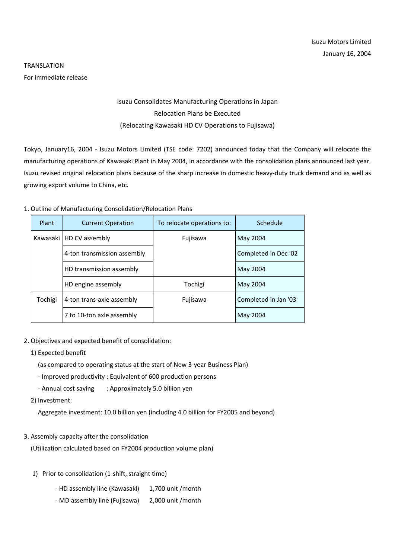# TRANSLATION For immediate release

# Isuzu Consolidates Manufacturing Operations in Japan Relocation Plans be Executed (Relocating Kawasaki HD CV Operations to Fujisawa)

Tokyo, January16, 2004 - Isuzu Motors Limited (TSE code: 7202) announced today that the Company will relocate the manufacturing operations of Kawasaki Plant in May 2004, in accordance with the consolidation plans announced last year. Isuzu revised original relocation plans because of the sharp increase in domestic heavy-duty truck demand and as well as growing export volume to China, etc.

#### 1. Outline of Manufacturing Consolidation/Relocation Plans

| Plant   | <b>Current Operation</b>    | To relocate operations to: | Schedule             |
|---------|-----------------------------|----------------------------|----------------------|
|         | Kawasaki   HD CV assembly   | Fujisawa                   | May 2004             |
|         | 4-ton transmission assembly |                            | Completed in Dec '02 |
|         | HD transmission assembly    |                            | May 2004             |
|         | HD engine assembly          | Tochigi                    | May 2004             |
| Tochigi | 4-ton trans-axle assembly   | Fujisawa                   | Completed in Jan '03 |
|         | 7 to 10-ton axle assembly   |                            | May 2004             |

## 2. Objectives and expected benefit of consolidation:

## 1) Expected benefit

(as compared to operating status at the start of New 3-year Business Plan)

- Improved productivity : Equivalent of 600 production persons
- Annual cost saving : Approximately 5.0 billion yen
- 2) Investment:

Aggregate investment: 10.0 billion yen (including 4.0 billion for FY2005 and beyond)

3. Assembly capacity after the consolidation

(Utilization calculated based on FY2004 production volume plan)

- 1) Prior to consolidation (1-shift, straight time)
	- HD assembly line (Kawasaki) 1,700 unit /month
	- MD assembly line (Fujisawa) 2,000 unit /month